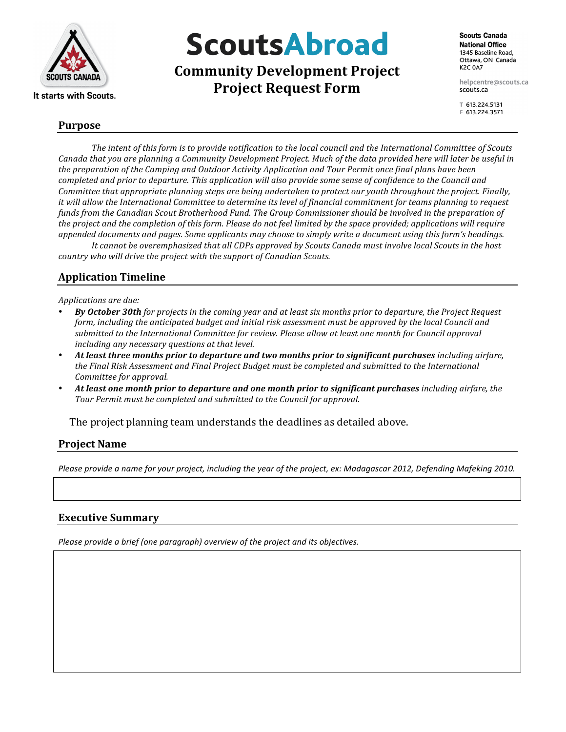

# **ScoutsAbroad**

**Community Development Project Project Request Form** 

helpcentre@scouts.ca scouts.ca

〒 613.224.5131 F 613.224.3571

### **Purpose**

The intent of this form is to provide notification to the local council and the International Committee of Scouts Canada that you are planning a Community Development Project. Much of the data provided here will later be useful in *the preparation of the Camping and Outdoor Activity Application and Tour Permit once final plans have been completed\$and\$prior\$to\$departure.\$This\$application\$will\$also\$provide\$some\$sense\$of\$confidence\$to\$the\$Council\$and\$ Committee that appropriate planning steps are being undertaken to protect our youth throughout the project. Finally,* it will allow the International Committee to determine its level of financial commitment for teams planning to request *funds from the Canadian Scout Brotherhood Fund. The Group Commissioner should be involved in the preparation of* the project and the completion of this form. Please do not feel limited by the space provided; applications will require appended documents and pages. Some applicants may choose to simply write a document using this form's headings. It cannot be overemphasized that all CDPs approved by Scouts Canada must involve local Scouts in the host

country who will drive the project with the support of Canadian Scouts.

## **Application)Timeline**

*Applications\$are\$due:*

- **By October 30th** for projects in the coming year and at least six months prior to departure, the Project Request *form, including the anticipated budget and initial risk assessment must be approved by the local Council and* submitted to the International Committee for review. Please allow at least one month for Council approval *including any necessary questions at that level.*
- *At\*least\*three\*months\*prior\*to\*departure\*and\*two\*months\*prior\*to\*significant\*purchases including\$airfare,\$* the Final Risk Assessment and Final Project Budget must be completed and submitted to the International *Committee for approval.*
- *At\*least\*one\*month\*prior\*to\*departure\*and\*one\*month\*prior\*to\*significant\*purchases including\$airfare,\$the\$* Tour Permit must be completed and submitted to the Council for approval.

 $\Box$  The project planning team understands the deadlines as detailed above.

## **Project Name**

Please provide a name for your project, including the year of the project, ex: Madagascar 2012, Defending Mafeking 2010.

### **Executive Summary**

*Please provide a brief (one paragraph) overview of the project and its objectives.*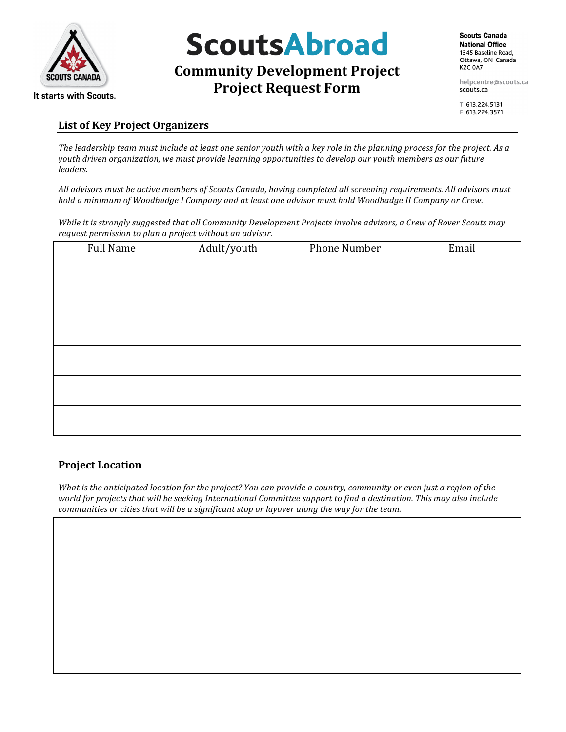

# **ScoutsAbroad**

# **Community Development Project Project Request Form**

helpcentre@scouts.ca scouts.ca

〒 613.224.5131 F 613.224.3571

### **List)of)Key)Project)Organizers**

*The leadership team must include at least one senior youth with a key role in the planning process for the project. As a youth\$driven\$organization,\$we\$must\$provide\$learning\$opportunities\$to\$develop\$our\$youth\$members\$as\$our\$future\$ leaders.*

All advisors must be active members of Scouts Canada, having completed all screening requirements. All advisors must hold a minimum of Woodbadge I Company and at least one advisor must hold Woodbadge II Company or Crew.

*While it is strongly suggested that all Community Development Projects involve advisors, a Crew of Rover Scouts may request permission to plan a project without an advisor.* 

| <b>Full Name</b> | Adult/youth | Phone Number | Email |
|------------------|-------------|--------------|-------|
|                  |             |              |       |
|                  |             |              |       |
|                  |             |              |       |
|                  |             |              |       |
|                  |             |              |       |
|                  |             |              |       |
|                  |             |              |       |
|                  |             |              |       |
|                  |             |              |       |
|                  |             |              |       |
|                  |             |              |       |
|                  |             |              |       |

## **Project Location**

*What is the anticipated location for the project? You can provide a country, community or even just a region of the* world for projects that will be seeking International Committee support to find a destination. This may also include *communities or cities that will be a significant stop or layover along the way for the team.*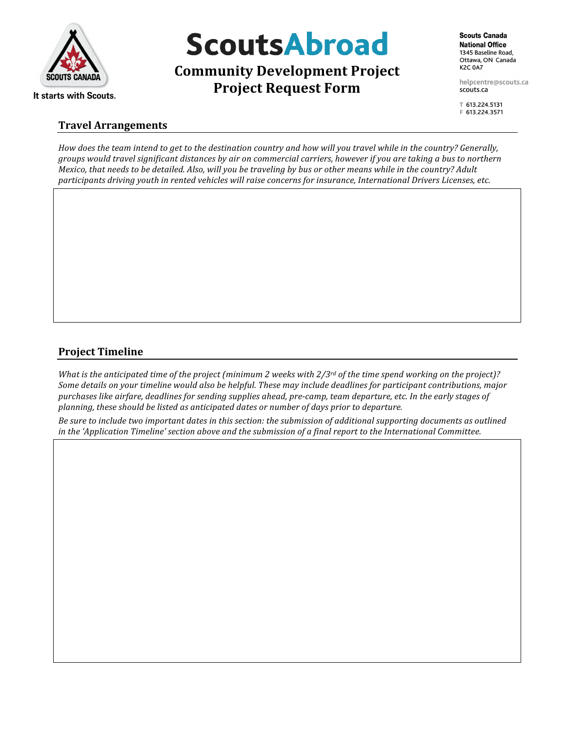

# **ScoutsAbroad**

**Community Development Project Project Request Form** 

helpcentre@scouts.ca scouts.ca

〒 613.224.5131 F 613.224.3571

### **Travel)Arrangements**

*How does the team intend to get to the destination country and how will you travel while in the country? Generally, groups\$would\$travel\$significant\$distances\$by\$air\$on\$commercial\$carriers,\$however if\$you\$are\$taking\$a bus\$to\$northern\$ Mexico, that needs to be detailed. Also, will you be traveling by bus or other means while in the country? Adult* participants driving youth in rented vehicles will raise concerns for insurance, International Drivers Licenses, etc.

## **Project Timeline**

*What is the anticipated time of the project (minimum 2 weeks with 2/3rd of the time spend working on the project)?* Some details on your timeline would also be helpful. These may include deadlines for participant contributions, major *purchases like airfare, deadlines for sending supplies ahead, pre-camp, team departure, etc. In the early stages of planning, these should be listed as anticipated dates or number of days prior to departure.* 

*Be sure to include two important dates in this section: the submission of additional supporting documents as outlined* in the 'Application Timeline' section above and the submission of a final report to the International Committee.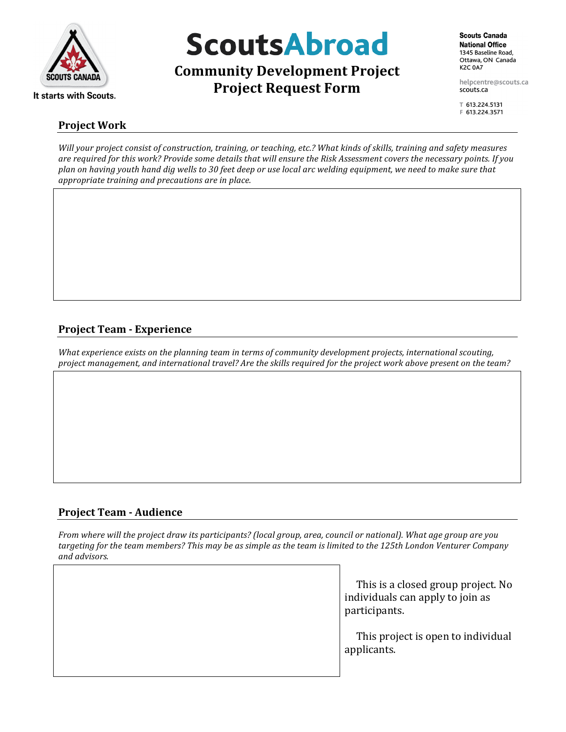

# **Project)Work**

**ScoutsAbroad** 

**Community Development Project Project Request Form** 

helpcentre@scouts.ca scouts.ca

〒 613.224.5131 F 613.224.3571

*Will your project consist of construction, training, or teaching, etc.? What kinds of skills, training and safety measures* are required for this work? Provide some details that will ensure the Risk Assessment covers the necessary points. If you *plan on having youth hand dig wells to 30 feet deep or use local arc welding equipment, we need to make sure that* appropriate training and precautions are in place.

# **Project Team - Experience**

*What experience exists on the planning team in terms of community development projects, international scouting, project management, and international travel? Are the skills required for the project work above present on the team?* 

## **Project Team - Audience**

*From where will the project draw its participants? (local group, area, council or national). What age group are you* targeting for the team members? This may be as simple as the team is limited to the 125th London Venturer Company *and\$advisors.*

> $\Box$  This is a closed group project. No individuals can apply to join as participants.

> $\square$  This project is open to individual applicants.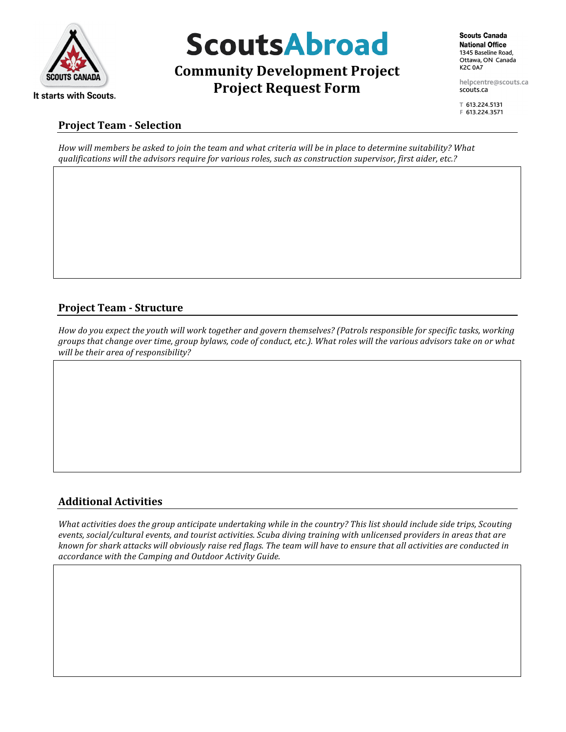

# **ScoutsAbroad**

# **Community Development Project Project Request Form**

**Scouts Canada National Office** 1345 Baseline Road. Ottawa, ON Canada **K2C 0A7** 

helpcentre@scouts.ca scouts.ca

〒 613.224.5131 F 613.224.3571

### **Project Team - Selection**

*How will members be asked to join the team and what criteria will be in place to determine suitability? What qualifications will the advisors require for various roles, such as construction supervisor, first aider, etc.?* 

# **Project Team - Structure**

*How do you expect the youth will work together and govern themselves? (Patrols responsible for specific tasks, working groups that change over time, group bylaws, code of conduct, etc.). What roles will the various advisors take on or what will be their area of responsibility?* 

## **Additional)Activities**

What activities does the group anticipate undertaking while in the country? This list should include side trips, Scouting events, social/cultural events, and tourist activities. Scuba diving training with unlicensed providers in areas that are known for shark attacks will obviously raise red flags. The team will have to ensure that all activities are conducted in *accordance\$with\$the\$Camping\$and\$Outdoor\$Activity\$Guide.*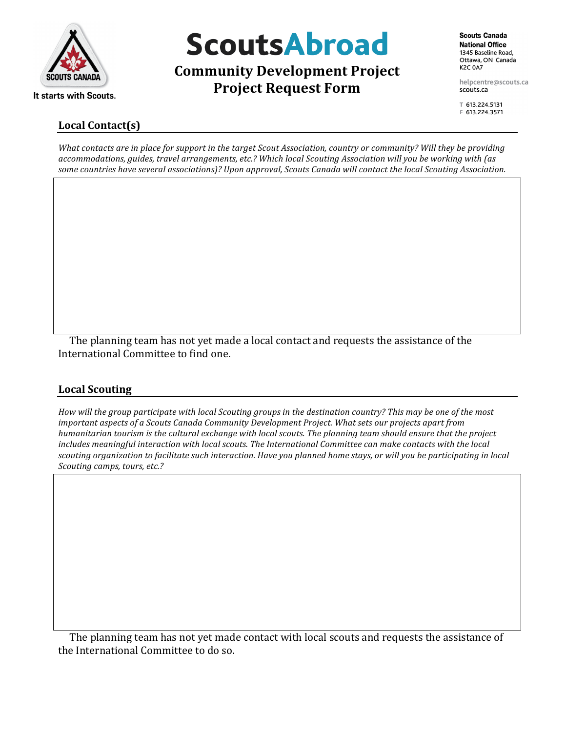

# **ScoutsAbroad**

**Community Development Project Project Request Form** 

helpcentre@scouts.ca scouts.ca

〒 613.224.5131 F 613.224.3571

# Local Contact(s)

*What contacts are in place for support in the target Scout Association, country or community? Will they be providing accommodations,\$guides,\$travel\$arrangements,\$etc.? Which\$local Scouting\$Association\$will\$you\$be\$working\$with\$(as\$* some countries have several associations)? Upon approval, Scouts Canada will contact the local Scouting Association.

 $\Box$  The planning team has not yet made a local contact and requests the assistance of the International Committee to find one.

# Local Scouting

*How will the group participate with local Scouting groups in the destination country? This may be one of the most important aspects of a Scouts Canada Community Development Project. What sets our projects apart from humanitarian tourism is the cultural exchange with local scouts. The planning team should ensure that the project* includes meaningful interaction with local scouts. The International Committee can make contacts with the local scouting organization to facilitate such interaction. Have you planned home stays, or will you be participating in local *Scouting camps, tours, etc.?* 

 $\Box$  The planning team has not yet made contact with local scouts and requests the assistance of the International Committee to do so.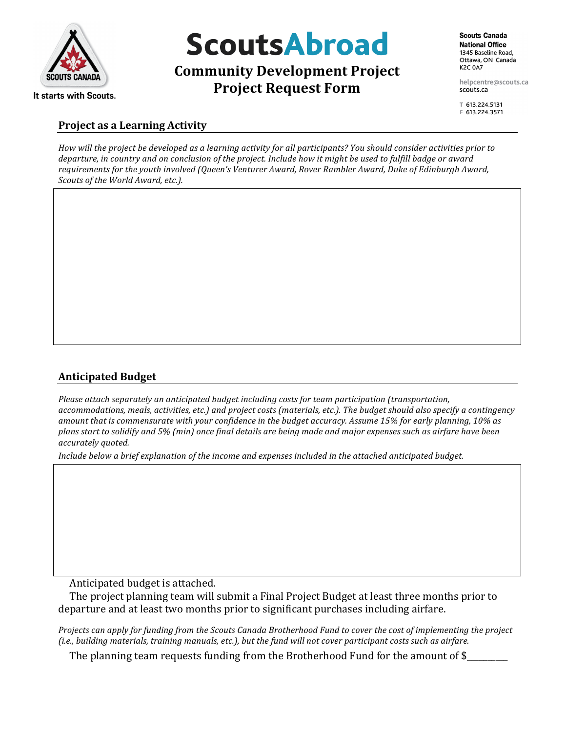

# **ScoutsAbroad**

# **Community Development Project Project Request Form**

helpcentre@scouts.ca scouts.ca

〒 613.224.5131 F 613.224.3571

### **Project as a Learning Activity**

How will the project be developed as a learning activity for all participants? You should consider activities prior to departure, in country and on conclusion of the project. Include how it might be used to fulfill badge or award *requirements for the youth involved (Queen's Venturer Award, Rover Rambler Award, Duke of Edinburgh Award, Scouts of the World Award, etc.).* 

## **Anticipated)Budget**

Please attach separately an anticipated budget including costs for team participation (transportation, accommodations, meals, activities, etc.) and project costs (materials, etc.). The budget should also specify a contingency amount that is commensurate with your confidence in the budget accuracy. Assume 15% for early planning, 10% as *plans start to solidify and 5% (min) once final details are being made and major expenses such as airfare have been accurately\$quoted.*

Include below a brief explanation of the income and expenses included in the attached anticipated budget.

 $\Box$  Anticipated budget is attached.

 $\Box$  The project planning team will submit a Final Project Budget at least three months prior to departure and at least two months prior to significant purchases including airfare.

*Projects can apply for funding from the Scouts Canada Brotherhood Fund to cover the cost of implementing the project (i.e., building materials, training manuals, etc.), but the fund will not cover participant costs such as airfare.* 

 $\square$  The planning team requests funding from the Brotherhood Fund for the amount of \$\_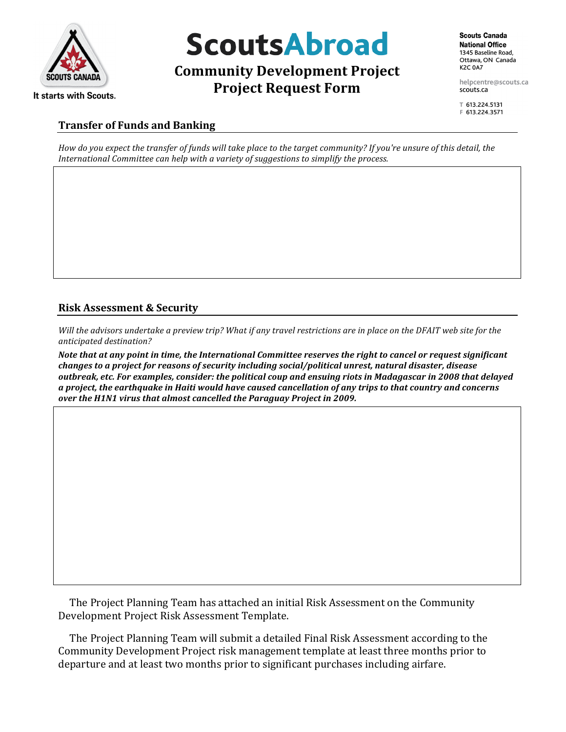

# **ScoutsAbroad**

# **Community Development Project Project Request Form**

**Scouts Canada National Office** 1345 Baseline Road. Ottawa, ON Canada **K2C 0A7** 

helpcentre@scouts.ca scouts.ca

〒 613.224.5131 F 613.224.3571

### **Transfer of Funds and Banking**

*How do you expect the transfer of funds will take place to the target community? If you're unsure of this detail, the* International Committee can help with a variety of suggestions to simplify the process.

# **Risk Assessment & Security**

*Will the advisors undertake a preview trip? What if any travel restrictions are in place on the DFAIT web site for the anticipated\$destination?*

*Note that at any point in time, the International Committee reserves the right to cancel or request significant changes\*to\*a\*project\*for\*reasons\*of\*security\*including\*social/political\*unrest,\*natural\*disaster,\*disease\* outbreak,\*etc.\*For\*examples,\*consider:\*the\*political\*coup\*and\*ensuing\*riots\*in\*Madagascar\*in\*2008\*that\*delayed\* a\*project,\*the\*earthquake\*in\*Haiti\*would\*have\*caused\*cancellation\*of\*any\*trips\*to\*that\*country\*and\*concerns\* over the H1N1 virus that almost cancelled the Paraguay Project in 2009.* 

 $\Box$  The Project Planning Team has attached an initial Risk Assessment on the Community Development Project Risk Assessment Template.

 $\Box$  The Project Planning Team will submit a detailed Final Risk Assessment according to the Community Development Project risk management template at least three months prior to departure and at least two months prior to significant purchases including airfare.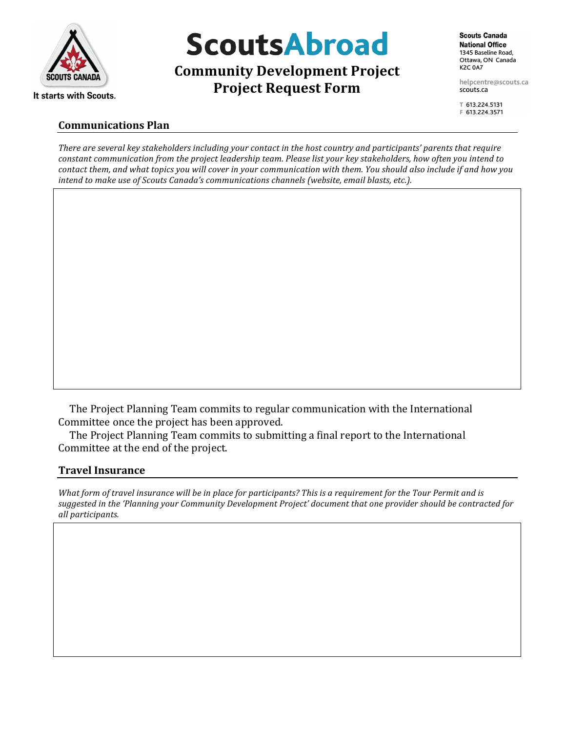

# **ScoutsAbroad**

**Community Development Project Project Request Form** 

helpcentre@scouts.ca scouts.ca

〒 613.224.5131 F 613.224.3571

### **Communications Plan**

There are several key stakeholders including your contact in the host country and participants' parents that require constant communication from the project leadership team. Please list your key stakeholders, how often you intend to *contact them, and what topics you will cover in your communication with them. You should also include if and how you intend to make use of Scouts Canada's communications channels (website, email blasts, etc.).* 

 $\square$  The Project Planning Team commits to regular communication with the International Committee once the project has been approved.

 $\Box$  The Project Planning Team commits to submitting a final report to the International Committee at the end of the project.

### **Travel)Insurance**

*What form of travel insurance will be in place for participants? This is a requirement for the Tour Permit and is* suggested in the 'Planning your Community Development Project' document that one provider should be contracted for *all\$participants.*